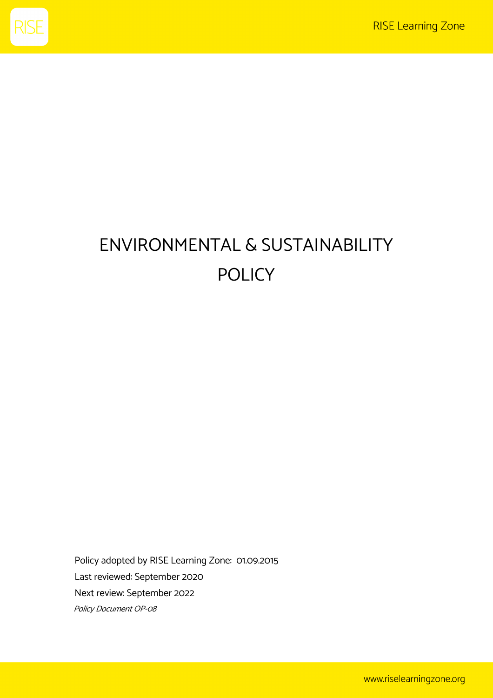

## ENVIRONMENTAL & SUSTAINABILITY POLICY

Policy adopted by RISE Learning Zone: 01.09.2015 Last reviewed: September 2020 Next review: September 2022 Policy Document OP-08